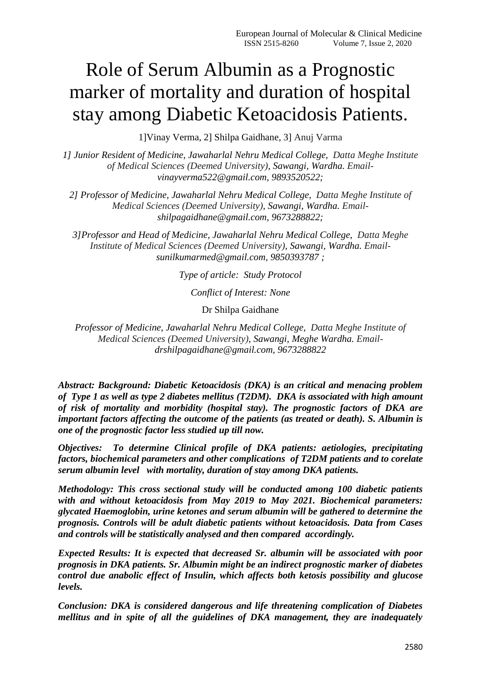# Role of Serum Albumin as a Prognostic marker of mortality and duration of hospital stay among Diabetic Ketoacidosis Patients.

1]Vinay Verma, 2] Shilpa Gaidhane, 3] Anuj Varma

*1] Junior Resident of Medicine, Jawaharlal Nehru Medical College, Datta Meghe Institute of Medical Sciences (Deemed University), Sawangi, Wardha. Emailvinayverma522@gmail.com, 9893520522;*

*2] Professor of Medicine, Jawaharlal Nehru Medical College, Datta Meghe Institute of Medical Sciences (Deemed University), Sawangi, Wardha. Emailshilpagaidhane@gmail.com, 9673288822;*

*3]Professor and Head of Medicine, Jawaharlal Nehru Medical College, Datta Meghe Institute of Medical Sciences (Deemed University), Sawangi, Wardha. Emailsunilkumarmed@gmail.com, 9850393787 ;*

*Type of article: Study Protocol*

*Conflict of Interest: None*

Dr Shilpa Gaidhane

*Professor of Medicine, Jawaharlal Nehru Medical College, Datta Meghe Institute of Medical Sciences (Deemed University), Sawangi, Meghe Wardha. Emaildrshilpagaidhane@gmail.com, 9673288822*

*Abstract: Background: Diabetic Ketoacidosis (DKA) is an critical and menacing problem of Type 1 as well as type 2 diabetes mellitus (T2DM). DKA is associated with high amount of risk of mortality and morbidity (hospital stay). The prognostic factors of DKA are important factors affecting the outcome of the patients (as treated or death). S. Albumin is one of the prognostic factor less studied up till now.*

*Objectives: To determine Clinical profile of DKA patients: aetiologies, precipitating factors, biochemical parameters and other complications of T2DM patients and to corelate serum albumin level with mortality, duration of stay among DKA patients.*

*Methodology: This cross sectional study will be conducted among 100 diabetic patients with and without ketoacidosis from May 2019 to May 2021. Biochemical parameters: glycated Haemoglobin, urine ketones and serum albumin will be gathered to determine the prognosis. Controls will be adult diabetic patients without ketoacidosis. Data from Cases and controls will be statistically analysed and then compared accordingly.* 

*Expected Results: It is expected that decreased Sr. albumin will be associated with poor prognosis in DKA patients. Sr. Albumin might be an indirect prognostic marker of diabetes control due anabolic effect of Insulin, which affects both ketosis possibility and glucose levels.*

*Conclusion: DKA is considered dangerous and life threatening complication of Diabetes mellitus and in spite of all the guidelines of DKA management, they are inadequately*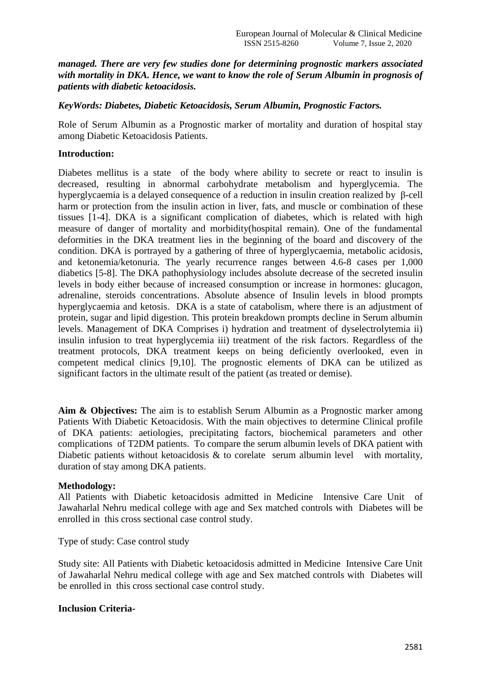*managed. There are very few studies done for determining prognostic markers associated with mortality in DKA. Hence, we want to know the role of Serum Albumin in prognosis of patients with diabetic ketoacidosis.*

### *KeyWords: Diabetes, Diabetic Ketoacidosis, Serum Albumin, Prognostic Factors.*

Role of Serum Albumin as a Prognostic marker of mortality and duration of hospital stay among Diabetic Ketoacidosis Patients.

#### **Introduction:**

Diabetes mellitus is a state of the body where ability to secrete or react to insulin is decreased, resulting in abnormal carbohydrate metabolism and hyperglycemia. The hyperglycaemia is a delayed consequence of a reduction in insulin creation realized by β-cell harm or protection from the insulin action in liver, fats, and muscle or combination of these tissues [1-4]. DKA is a significant complication of diabetes, which is related with high measure of danger of mortality and morbidity(hospital remain). One of the fundamental deformities in the DKA treatment lies in the beginning of the board and discovery of the condition. DKA is portrayed by a gathering of three of hyperglycaemia, metabolic acidosis, and ketonemia/ketonuria. The yearly recurrence ranges between 4.6-8 cases per 1,000 diabetics [5-8]. The DKA pathophysiology includes absolute decrease of the secreted insulin levels in body either because of increased consumption or increase in hormones: glucagon, adrenaline, steroids concentrations. Absolute absence of Insulin levels in blood prompts hyperglycaemia and ketosis. DKA is a state of catabolism, where there is an adjustment of protein, sugar and lipid digestion. This protein breakdown prompts decline in Serum albumin levels. Management of DKA Comprises i) hydration and treatment of dyselectrolytemia ii) insulin infusion to treat hyperglycemia iii) treatment of the risk factors. Regardless of the treatment protocols, DKA treatment keeps on being deficiently overlooked, even in competent medical clinics [9,10]. The prognostic elements of DKA can be utilized as significant factors in the ultimate result of the patient (as treated or demise).

**Aim & Objectives:** The aim is to establish Serum Albumin as a Prognostic marker among Patients With Diabetic Ketoacidosis. With the main objectives to determine Clinical profile of DKA patients: aetiologies, precipitating factors, biochemical parameters and other complications of T2DM patients. To compare the serum albumin levels of DKA patient with Diabetic patients without ketoacidosis & to corelate serum albumin level with mortality, duration of stay among DKA patients.

#### **Methodology:**

All Patients with Diabetic ketoacidosis admitted in Medicine Intensive Care Unit of Jawaharlal Nehru medical college with age and Sex matched controls with Diabetes will be enrolled in this cross sectional case control study.

Type of study: Case control study

Study site: All Patients with Diabetic ketoacidosis admitted in Medicine Intensive Care Unit of Jawaharlal Nehru medical college with age and Sex matched controls with Diabetes will be enrolled in this cross sectional case control study.

## **Inclusion Criteria-**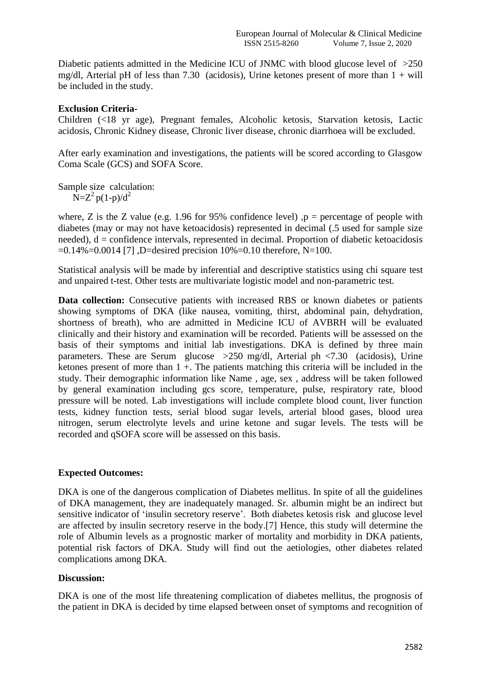Diabetic patients admitted in the Medicine ICU of JNMC with blood glucose level of  $>250$ mg/dl, Arterial pH of less than 7.30 (acidosis), Urine ketones present of more than  $1 + will$ be included in the study.

# **Exclusion Criteria-**

Children (<18 yr age), Pregnant females, Alcoholic ketosis, Starvation ketosis, Lactic acidosis, Chronic Kidney disease, Chronic liver disease, chronic diarrhoea will be excluded.

After early examination and investigations, the patients will be scored according to Glasgow Coma Scale (GCS) and SOFA Score.

Sample size calculation:  $N=Z^2p(1-p)/d^2$ 

where, Z is the Z value (e.g. 1.96 for 95% confidence level)  $p =$  percentage of people with diabetes (may or may not have ketoacidosis) represented in decimal (.5 used for sample size needed),  $d =$  confidence intervals, represented in decimal. Proportion of diabetic ketoacidosis  $=0.14\% = 0.0014$  [7], D=desired precision 10%=0.10 therefore, N=100.

Statistical analysis will be made by inferential and descriptive statistics using chi square test and unpaired t-test. Other tests are multivariate logistic model and non-parametric test.

Data collection: Consecutive patients with increased RBS or known diabetes or patients showing symptoms of DKA (like nausea, vomiting, thirst, abdominal pain, dehydration, shortness of breath), who are admitted in Medicine ICU of AVBRH will be evaluated clinically and their history and examination will be recorded. Patients will be assessed on the basis of their symptoms and initial lab investigations. DKA is defined by three main parameters. These are Serum glucose >250 mg/dl, Arterial ph <7.30 (acidosis), Urine ketones present of more than  $1 +$ . The patients matching this criteria will be included in the study. Their demographic information like Name , age, sex , address will be taken followed by general examination including gcs score, temperature, pulse, respiratory rate, blood pressure will be noted. Lab investigations will include complete blood count, liver function tests, kidney function tests, serial blood sugar levels, arterial blood gases, blood urea nitrogen, serum electrolyte levels and urine ketone and sugar levels. The tests will be recorded and qSOFA score will be assessed on this basis.

# **Expected Outcomes:**

DKA is one of the dangerous complication of Diabetes mellitus. In spite of all the guidelines of DKA management, they are inadequately managed. Sr. albumin might be an indirect but sensitive indicator of "insulin secretory reserve". Both diabetes ketosis risk and glucose level are affected by insulin secretory reserve in the body.[7] Hence, this study will determine the role of Albumin levels as a prognostic marker of mortality and morbidity in DKA patients, potential risk factors of DKA. Study will find out the aetiologies, other diabetes related complications among DKA.

## **Discussion:**

DKA is one of the most life threatening complication of diabetes mellitus, the prognosis of the patient in DKA is decided by time elapsed between onset of symptoms and recognition of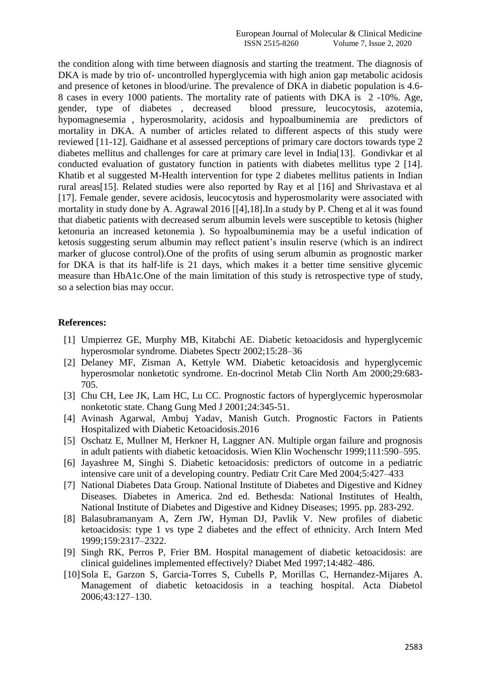the condition along with time between diagnosis and starting the treatment. The diagnosis of DKA is made by trio of- uncontrolled hyperglycemia with high anion gap metabolic acidosis and presence of ketones in blood/urine. The prevalence of DKA in diabetic population is 4.6- 8 cases in every 1000 patients. The mortality rate of patients with DKA is 2 -10%. Age, gender, type of diabetes , decreased blood pressure, leucocytosis, azotemia, hypomagnesemia , hyperosmolarity, acidosis and hypoalbuminemia are predictors of mortality in DKA. A number of articles related to different aspects of this study were reviewed [11-12]. Gaidhane et al assessed perceptions of primary care doctors towards type 2 diabetes mellitus and challenges for care at primary care level in India[13]. Gondivkar et al conducted evaluation of gustatory function in patients with diabetes mellitus type 2 [14]. Khatib et al suggested M-Health intervention for type 2 diabetes mellitus patients in Indian rural areas[15]. Related studies were also reported by Ray et al [16] and Shrivastava et al [17]. Female gender, severe acidosis, leucocytosis and hyperosmolarity were associated with mortality in study done by A. Agrawal 2016 [\[\[4\],](#page-3-0)18].In a study by P. Cheng et al it was found that diabetic patients with decreased serum albumin levels were susceptible to ketosis (higher ketonuria an increased ketonemia ). So hypoalbuminemia may be a useful indication of ketosis suggesting serum albumin may reflect patient"s insulin reserve (which is an indirect marker of glucose control).One of the profits of using serum albumin as prognostic marker for DKA is that its half-life is 21 days, which makes it a better time sensitive glycemic measure than HbA1c.One of the main limitation of this study is retrospective type of study, so a selection bias may occur.

#### **References:**

- [1] Umpierrez GE, Murphy MB, Kitabchi AE. Diabetic ketoacidosis and hyperglycemic hyperosmolar syndrome. Diabetes Spectr 2002;15:28–36
- [2] Delaney MF, Zisman A, Kettyle WM. Diabetic ketoacidosis and hyperglycemic hyperosmolar nonketotic syndrome. En-docrinol Metab Clin North Am 2000;29:683- 705.
- [3] Chu CH, Lee JK, Lam HC, Lu CC. Prognostic factors of hyperglycemic hyperosmolar nonketotic state. Chang Gung Med J 2001;24:345-51.
- <span id="page-3-0"></span>[4] Avinash Agarwal, Ambuj Yadav, Manish Gutch. Prognostic Factors in Patients Hospitalized with Diabetic Ketoacidosis.2016
- [5] Oschatz E, Mullner M, Herkner H, Laggner AN. Multiple organ failure and prognosis in adult patients with diabetic ketoacidosis. Wien Klin Wochenschr 1999;111:590–595.
- [6] Jayashree M, Singhi S. Diabetic ketoacidosis: predictors of outcome in a pediatric intensive care unit of a developing country. Pediatr Crit Care Med 2004;5:427–433
- [7] National Diabetes Data Group. National Institute of Diabetes and Digestive and Kidney Diseases. Diabetes in America. 2nd ed. Bethesda: National Institutes of Health, National Institute of Diabetes and Digestive and Kidney Diseases; 1995. pp. 283-292.
- [8] Balasubramanyam A, Zern JW, Hyman DJ, Pavlik V. New profiles of diabetic ketoacidosis: type 1 vs type 2 diabetes and the effect of ethnicity. Arch Intern Med 1999;159:2317–2322.
- [9] Singh RK, Perros P, Frier BM. Hospital management of diabetic ketoacidosis: are clinical guidelines implemented effectively? Diabet Med 1997;14:482–486.
- [10]Sola E, Garzon S, Garcia-Torres S, Cubells P, Morillas C, Hernandez-Mijares A. Management of diabetic ketoacidosis in a teaching hospital. Acta Diabetol 2006;43:127–130.